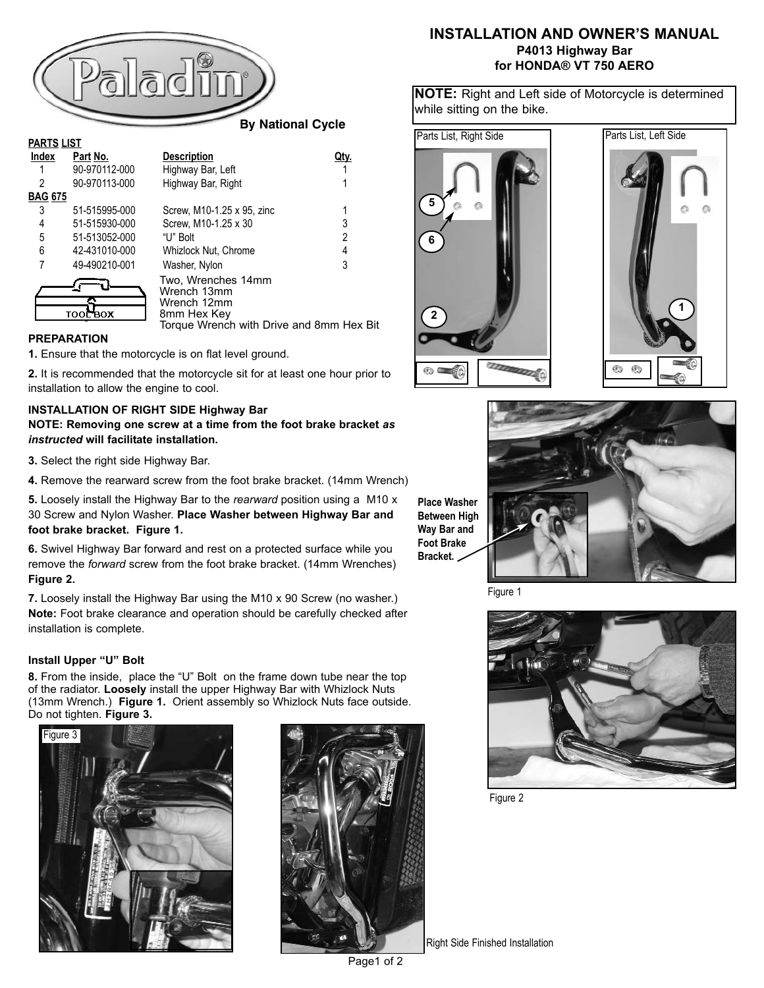

| 2              | 90-970113-000 | Highway Bar, Right                                                                                          |   |
|----------------|---------------|-------------------------------------------------------------------------------------------------------------|---|
| <u>BAG 675</u> |               |                                                                                                             |   |
| 3              | 51-515995-000 | Screw, M10-1.25 x 95, zinc                                                                                  |   |
| 4              | 51-515930-000 | Screw, M10-1.25 x 30                                                                                        | 3 |
| 5              | 51-513052-000 | "U" Bolt                                                                                                    | 2 |
| 6              | 42-431010-000 | Whizlock Nut, Chrome                                                                                        | 4 |
| 7              | 49-490210-001 | Washer, Nylon                                                                                               | 3 |
|                | тоог вох      | Two, Wrenches 14mm<br>Wrench 13mm<br>Wrench 12mm<br>8mm Hex Key<br>Torque Wrench with Drive and 8mm Hex Bit |   |
|                |               |                                                                                                             |   |

### **PREPARATION**

**1.** Ensure that the motorcycle is on flat level ground.

**2.** It is recommended that the motorcycle sit for at least one hour prior to installation to allow the engine to cool.

#### **INSTALLATION OF RIGHT SIDE Highway Bar**

**NOTE: Removing one screw at a time from the foot brake bracket** *as instructed* **will facilitate installation.** 

**3.** Select the right side Highway Bar.

**4.** Remove the rearward screw from the foot brake bracket. (14mm Wrench)

**5.** Loosely install the Highway Bar to the *rearward* position using a M10 x 30 Screw and Nylon Washer. **Place Washer between Highway Bar and foot brake bracket. Figure 1.**

**6.** Swivel Highway Bar forward and rest on a protected surface while you remove the *forward* screw from the foot brake bracket. (14mm Wrenches) **Figure 2.**

**7.** Loosely install the Highway Bar using the M10 x 90 Screw (no washer.) **Note:** Foot brake clearance and operation should be carefully checked after installation is complete.

#### **Install Upper "U" Bolt**

**8.** From the inside, place the "U" Bolt on the frame down tube near the top of the radiator. **Loosely** install the upper Highway Bar with Whizlock Nuts (13mm Wrench.) **Figure 1.** Orient assembly so Whizlock Nuts face outside. Do not tighten. **Figure 3.**





## **INSTALLATION AND OWNER'S MANUAL P4013 Highway Bar for HONDA® VT 750 AERO**

**NOTE:** Right and Left side of Motorcycle is determined while sitting on the bike.







**Between High Way Bar and Foot Brake Bracket.** 

Figure 1



Figure 2

Right Side Finished Installation

Page1 of 2